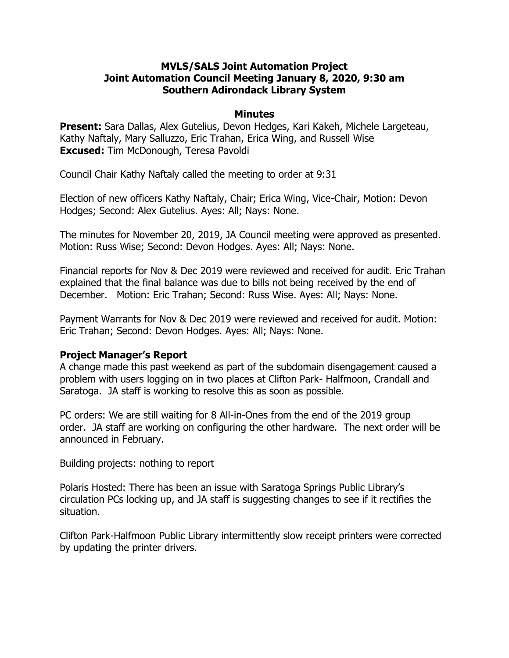## **MVLS/SALS Joint Automation Project Joint Automation Council Meeting January 8, 2020, 9:30 am Southern Adirondack Library System**

#### **Minutes**

**Present:** Sara Dallas, Alex Gutelius, Devon Hedges, Kari Kakeh, Michele Largeteau, Kathy Naftaly, Mary Salluzzo, Eric Trahan, Erica Wing, and Russell Wise **Excused:** Tim McDonough, Teresa Pavoldi

Council Chair Kathy Naftaly called the meeting to order at 9:31

Election of new officers Kathy Naftaly, Chair; Erica Wing, Vice-Chair, Motion: Devon Hodges; Second: Alex Gutelius. Ayes: All; Nays: None.

The minutes for November 20, 2019, JA Council meeting were approved as presented. Motion: Russ Wise; Second: Devon Hodges. Ayes: All; Nays: None.

Financial reports for Nov & Dec 2019 were reviewed and received for audit. Eric Trahan explained that the final balance was due to bills not being received by the end of December. Motion: Eric Trahan; Second: Russ Wise. Ayes: All; Nays: None.

Payment Warrants for Nov & Dec 2019 were reviewed and received for audit. Motion: Eric Trahan; Second: Devon Hodges. Ayes: All; Nays: None.

## **Project Manager's Report**

A change made this past weekend as part of the subdomain disengagement caused a problem with users logging on in two places at Clifton Park- Halfmoon, Crandall and Saratoga. JA staff is working to resolve this as soon as possible.

PC orders: We are still waiting for 8 All-in-Ones from the end of the 2019 group order. JA staff are working on configuring the other hardware. The next order will be announced in February.

Building projects: nothing to report

Polaris Hosted: There has been an issue with Saratoga Springs Public Library's circulation PCs locking up, and JA staff is suggesting changes to see if it rectifies the situation.

Clifton Park-Halfmoon Public Library intermittently slow receipt printers were corrected by updating the printer drivers.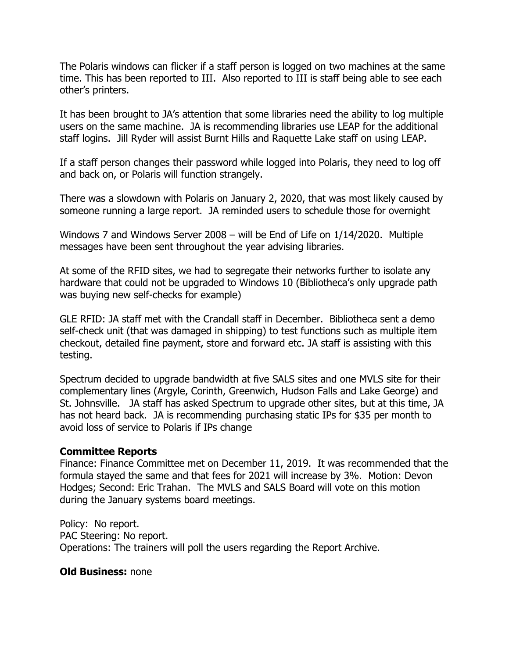The Polaris windows can flicker if a staff person is logged on two machines at the same time. This has been reported to III. Also reported to III is staff being able to see each other's printers.

It has been brought to JA's attention that some libraries need the ability to log multiple users on the same machine. JA is recommending libraries use LEAP for the additional staff logins. Jill Ryder will assist Burnt Hills and Raquette Lake staff on using LEAP.

If a staff person changes their password while logged into Polaris, they need to log off and back on, or Polaris will function strangely.

There was a slowdown with Polaris on January 2, 2020, that was most likely caused by someone running a large report. JA reminded users to schedule those for overnight

Windows 7 and Windows Server 2008 – will be End of Life on 1/14/2020. Multiple messages have been sent throughout the year advising libraries.

At some of the RFID sites, we had to segregate their networks further to isolate any hardware that could not be upgraded to Windows 10 (Bibliotheca's only upgrade path was buying new self-checks for example)

GLE RFID: JA staff met with the Crandall staff in December. Bibliotheca sent a demo self-check unit (that was damaged in shipping) to test functions such as multiple item checkout, detailed fine payment, store and forward etc. JA staff is assisting with this testing.

Spectrum decided to upgrade bandwidth at five SALS sites and one MVLS site for their complementary lines (Argyle, Corinth, Greenwich, Hudson Falls and Lake George) and St. Johnsville. JA staff has asked Spectrum to upgrade other sites, but at this time, JA has not heard back. JA is recommending purchasing static IPs for \$35 per month to avoid loss of service to Polaris if IPs change

### **Committee Reports**

Finance: Finance Committee met on December 11, 2019. It was recommended that the formula stayed the same and that fees for 2021 will increase by 3%. Motion: Devon Hodges; Second: Eric Trahan. The MVLS and SALS Board will vote on this motion during the January systems board meetings.

Policy: No report. PAC Steering: No report. Operations: The trainers will poll the users regarding the Report Archive.

### **Old Business:** none